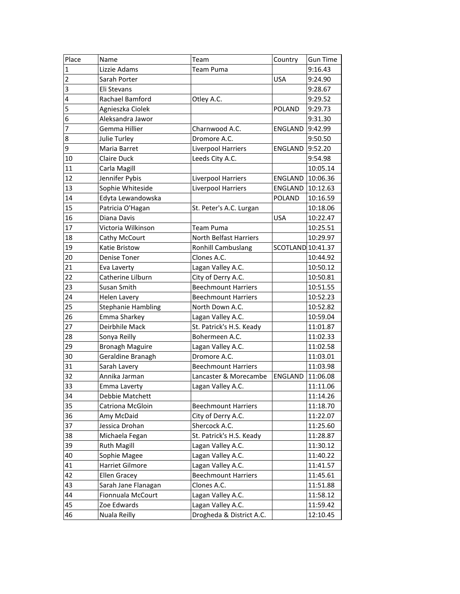| Place          | Name                      | Team                       | Country           | <b>Gun Time</b> |
|----------------|---------------------------|----------------------------|-------------------|-----------------|
| $\mathbf 1$    | Lizzie Adams              | <b>Team Puma</b>           |                   | 9:16.43         |
| $\overline{2}$ | Sarah Porter              |                            | <b>USA</b>        | 9:24.90         |
| 3              | Eli Stevans               |                            |                   | 9:28.67         |
| $\overline{4}$ | Rachael Bamford           | Otley A.C.                 |                   | 9:29.52         |
| $\overline{5}$ | Agnieszka Ciolek          |                            | <b>POLAND</b>     | 9:29.73         |
| $\overline{6}$ | Aleksandra Jawor          |                            |                   | 9:31.30         |
| 7              | Gemma Hillier             | Charnwood A.C.             | ENGLAND           | 9:42.99         |
| 8              | Julie Turley              | Dromore A.C.               |                   | 9:50.50         |
| $\overline{9}$ | Maria Barret              | <b>Liverpool Harriers</b>  | ENGLAND           | 9:52.20         |
| 10             | Claire Duck               | Leeds City A.C.            |                   | 9:54.98         |
| 11             | Carla Magill              |                            |                   | 10:05.14        |
| 12             | Jennifer Pybis            | Liverpool Harriers         | ENGLAND           | 10:06.36        |
| 13             | Sophie Whiteside          | Liverpool Harriers         | ENGLAND           | 10:12.63        |
| 14             | Edyta Lewandowska         |                            | <b>POLAND</b>     | 10:16.59        |
| 15             | Patricia O'Hagan          | St. Peter's A.C. Lurgan    |                   | 10:18.06        |
| 16             | Diana Davis               |                            | <b>USA</b>        | 10:22.47        |
| 17             | Victoria Wilkinson        | <b>Team Puma</b>           |                   | 10:25.51        |
| 18             | Cathy McCourt             | North Belfast Harriers     |                   | 10:29.97        |
| 19             | Katie Bristow             | <b>Ronhill Cambuslang</b>  | SCOTLAND 10:41.37 |                 |
| 20             | Denise Toner              | Clones A.C.                |                   | 10:44.92        |
| 21             | Eva Laverty               | Lagan Valley A.C.          |                   | 10:50.12        |
| 22             | Catherine Lilburn         | City of Derry A.C.         |                   | 10:50.81        |
| 23             | Susan Smith               | <b>Beechmount Harriers</b> |                   | 10:51.55        |
| 24             | <b>Helen Lavery</b>       | <b>Beechmount Harriers</b> |                   | 10:52.23        |
| 25             | <b>Stephanie Hambling</b> | North Down A.C.            |                   | 10:52.82        |
| 26             | Emma Sharkey              | Lagan Valley A.C.          |                   | 10:59.04        |
| 27             | Deirbhile Mack            | St. Patrick's H.S. Keady   |                   | 11:01.87        |
| 28             | Sonya Reilly              | Bohermeen A.C.             |                   | 11:02.33        |
| 29             | <b>Bronagh Maguire</b>    | Lagan Valley A.C.          |                   | 11:02.58        |
| 30             | Geraldine Branagh         | Dromore A.C.               |                   | 11:03.01        |
| 31             | Sarah Lavery              | <b>Beechmount Harriers</b> |                   | 11:03.98        |
| 32             | Annika Jarman             | Lancaster & Morecambe      | ENGLAND           | 11:06.08        |
| 33             | Emma Laverty              | Lagan Valley A.C.          |                   | 11:11.06        |
| 34             | Debbie Matchett           |                            |                   | 11:14.26        |
| 35             | Catriona McGloin          | <b>Beechmount Harriers</b> |                   | 11:18.70        |
| 36             | Amy McDaid                | City of Derry A.C.         |                   | 11:22.07        |
| 37             | Jessica Drohan            | Shercock A.C.              |                   | 11:25.60        |
| 38             | Michaela Fegan            | St. Patrick's H.S. Keady   |                   | 11:28.87        |
| 39             | <b>Ruth Magill</b>        | Lagan Valley A.C.          |                   | 11:30.12        |
| 40             | Sophie Magee              | Lagan Valley A.C.          |                   | 11:40.22        |
| 41             | Harriet Gilmore           | Lagan Valley A.C.          |                   | 11:41.57        |
| 42             | <b>Ellen Gracey</b>       | <b>Beechmount Harriers</b> |                   | 11:45.61        |
| 43             | Sarah Jane Flanagan       | Clones A.C.                |                   | 11:51.88        |
| 44             | Fionnuala McCourt         | Lagan Valley A.C.          |                   | 11:58.12        |
| 45             | Zoe Edwards               | Lagan Valley A.C.          |                   | 11:59.42        |
| 46             | Nuala Reilly              | Drogheda & District A.C.   |                   | 12:10.45        |